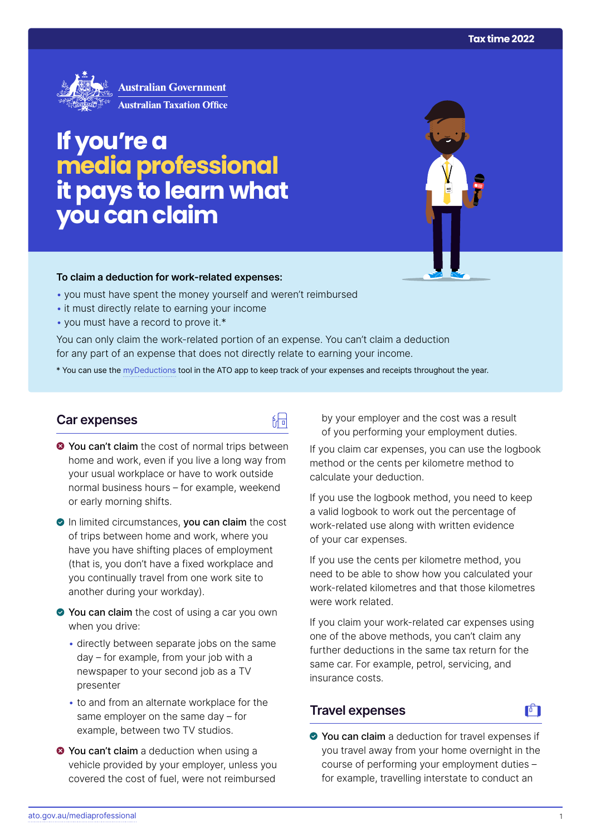

# **If you're a media professional it pays to learn what you can claim**

#### **To claim a deduction for work‑related expenses:**

- you must have spent the money yourself and weren't reimbursed
- it must directly relate to earning your income
- you must have a record to prove it.\*

You can only claim the work-related portion of an expense. You can't claim a deduction for any part of an expense that does not directly relate to earning your income.

\* You can use the [myDeductions](https://ato.gov.au/mydeductions) tool in the ATO app to keep track of your expenses and receipts throughout the year.

品

#### **Car expenses**

 $\bullet$  You can't claim the cost of normal trips between home and work, even if you live a long way from your usual workplace or have to work outside normal business hours – for example, weekend or early morning shifts.

In limited circumstances, you can claim the cost of trips between home and work, where you have you have shifting places of employment (that is, you don't have a fixed workplace and you continually travel from one work site to another during your workday).

- You can claim the cost of using a car you own when you drive:
	- directly between separate jobs on the same day – for example, from your job with a newspaper to your second job as a TV presenter
	- to and from an alternate workplace for the same employer on the same day – for example, between two TV studios.
- **O** You can't claim a deduction when using a vehicle provided by your employer, unless you covered the cost of fuel, were not reimbursed

by your employer and the cost was a result of you performing your employment duties.

If you claim car expenses, you can use the logbook method or the cents per kilometre method to calculate your deduction.

If you use the logbook method, you need to keep a valid logbook to work out the percentage of work-related use along with written evidence of your car expenses.

If you use the cents per kilometre method, you need to be able to show how you calculated your work-related kilometres and that those kilometres were work related.

If you claim your work-related car expenses using one of the above methods, you can't claim any further deductions in the same tax return for the same car. For example, petrol, servicing, and insurance costs.

#### **Travel expenses**

# $\mathbf{F}$

● You can claim a deduction for travel expenses if you travel away from your home overnight in the course of performing your employment duties – for example, travelling interstate to conduct an